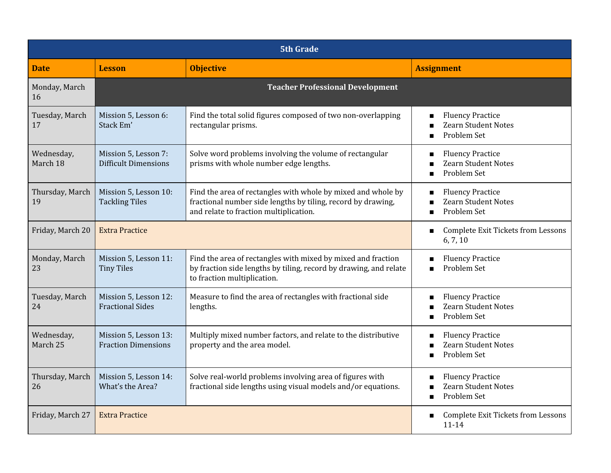| <b>5th Grade</b>       |                                                     |                                                                                                                                                                        |                                                                                                   |
|------------------------|-----------------------------------------------------|------------------------------------------------------------------------------------------------------------------------------------------------------------------------|---------------------------------------------------------------------------------------------------|
| <b>Date</b>            | <b>Lesson</b>                                       | <b>Objective</b>                                                                                                                                                       | <b>Assignment</b>                                                                                 |
| Monday, March<br>16    |                                                     | <b>Teacher Professional Development</b>                                                                                                                                |                                                                                                   |
| Tuesday, March<br>17   | Mission 5, Lesson 6:<br>Stack Em'                   | Find the total solid figures composed of two non-overlapping<br>rectangular prisms.                                                                                    | <b>Fluency Practice</b><br><b>Zearn Student Notes</b><br>п<br>Problem Set<br>п                    |
| Wednesday,<br>March 18 | Mission 5, Lesson 7:<br><b>Difficult Dimensions</b> | Solve word problems involving the volume of rectangular<br>prisms with whole number edge lengths.                                                                      | <b>Fluency Practice</b><br>П<br><b>Zearn Student Notes</b><br>Problem Set<br>п                    |
| Thursday, March<br>19  | Mission 5, Lesson 10:<br><b>Tackling Tiles</b>      | Find the area of rectangles with whole by mixed and whole by<br>fractional number side lengths by tiling, record by drawing,<br>and relate to fraction multiplication. | <b>Fluency Practice</b><br><b>Zearn Student Notes</b><br>Problem Set<br>п                         |
| Friday, March 20       | <b>Extra Practice</b>                               |                                                                                                                                                                        | <b>Complete Exit Tickets from Lessons</b><br>П<br>6, 7, 10                                        |
| Monday, March<br>23    | Mission 5, Lesson 11:<br><b>Tiny Tiles</b>          | Find the area of rectangles with mixed by mixed and fraction<br>by fraction side lengths by tiling, record by drawing, and relate<br>to fraction multiplication.       | <b>Fluency Practice</b><br>Problem Set<br>п                                                       |
| Tuesday, March<br>24   | Mission 5, Lesson 12:<br><b>Fractional Sides</b>    | Measure to find the area of rectangles with fractional side<br>lengths.                                                                                                | <b>Fluency Practice</b><br><b>Zearn Student Notes</b><br>Problem Set                              |
| Wednesday,<br>March 25 | Mission 5, Lesson 13:<br><b>Fraction Dimensions</b> | Multiply mixed number factors, and relate to the distributive<br>property and the area model.                                                                          | <b>Fluency Practice</b><br>г<br><b>Zearn Student Notes</b><br>Problem Set                         |
| Thursday, March<br>26  | Mission 5, Lesson 14:<br>What's the Area?           | Solve real-world problems involving area of figures with<br>fractional side lengths using visual models and/or equations.                                              | <b>Fluency Practice</b><br>$\blacksquare$<br>Zearn Student Notes<br>Problem Set<br>$\blacksquare$ |
| Friday, March 27       | <b>Extra Practice</b>                               |                                                                                                                                                                        | <b>Complete Exit Tickets from Lessons</b><br>$\blacksquare$<br>$11 - 14$                          |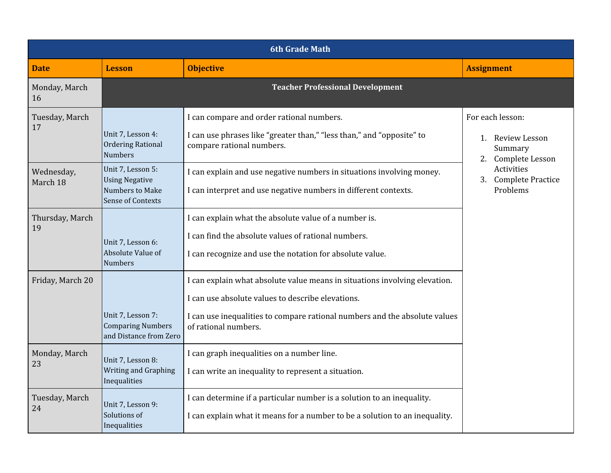| <b>6th Grade Math</b>  |                                                                                           |                                                                                                                                                                                                                                       |                                                                                                                         |
|------------------------|-------------------------------------------------------------------------------------------|---------------------------------------------------------------------------------------------------------------------------------------------------------------------------------------------------------------------------------------|-------------------------------------------------------------------------------------------------------------------------|
| <b>Date</b>            | <b>Lesson</b>                                                                             | <b>Objective</b>                                                                                                                                                                                                                      | <b>Assignment</b>                                                                                                       |
| Monday, March<br>16    | <b>Teacher Professional Development</b>                                                   |                                                                                                                                                                                                                                       |                                                                                                                         |
| Tuesday, March<br>17   | Unit 7, Lesson 4:<br><b>Ordering Rational</b><br><b>Numbers</b>                           | I can compare and order rational numbers.<br>I can use phrases like "greater than," "less than," and "opposite" to<br>compare rational numbers.                                                                                       | For each lesson:<br>1. Review Lesson<br>Summary<br>2. Complete Lesson<br>Activities<br>3. Complete Practice<br>Problems |
| Wednesday,<br>March 18 | Unit 7, Lesson 5:<br><b>Using Negative</b><br>Numbers to Make<br><b>Sense of Contexts</b> | I can explain and use negative numbers in situations involving money.<br>I can interpret and use negative numbers in different contexts.                                                                                              |                                                                                                                         |
| Thursday, March<br>19  | Unit 7, Lesson 6:<br>Absolute Value of<br><b>Numbers</b>                                  | I can explain what the absolute value of a number is.<br>I can find the absolute values of rational numbers.<br>I can recognize and use the notation for absolute value.                                                              |                                                                                                                         |
| Friday, March 20       | Unit 7, Lesson 7:<br><b>Comparing Numbers</b><br>and Distance from Zero                   | I can explain what absolute value means in situations involving elevation.<br>I can use absolute values to describe elevations.<br>I can use inequalities to compare rational numbers and the absolute values<br>of rational numbers. |                                                                                                                         |
| Monday, March<br>23    | Unit 7, Lesson 8:<br>Writing and Graphing<br>Inequalities                                 | I can graph inequalities on a number line.<br>I can write an inequality to represent a situation.                                                                                                                                     |                                                                                                                         |
| Tuesday, March<br>24   | Unit 7, Lesson 9:<br>Solutions of<br>Inequalities                                         | I can determine if a particular number is a solution to an inequality.<br>I can explain what it means for a number to be a solution to an inequality.                                                                                 |                                                                                                                         |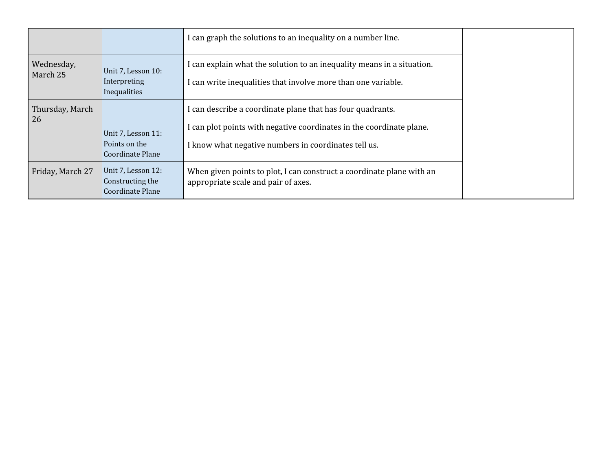|                        |                                                            | I can graph the solutions to an inequality on a number line.                                                                                                                               |
|------------------------|------------------------------------------------------------|--------------------------------------------------------------------------------------------------------------------------------------------------------------------------------------------|
| Wednesday,<br>March 25 | Unit 7, Lesson 10:<br>Interpreting<br>Inequalities         | I can explain what the solution to an inequality means in a situation.<br>I can write inequalities that involve more than one variable.                                                    |
| Thursday, March<br>26  | Unit 7, Lesson 11:<br>Points on the<br>Coordinate Plane    | I can describe a coordinate plane that has four quadrants.<br>I can plot points with negative coordinates in the coordinate plane.<br>I know what negative numbers in coordinates tell us. |
| Friday, March 27       | Unit 7, Lesson 12:<br>Constructing the<br>Coordinate Plane | When given points to plot, I can construct a coordinate plane with an<br>appropriate scale and pair of axes.                                                                               |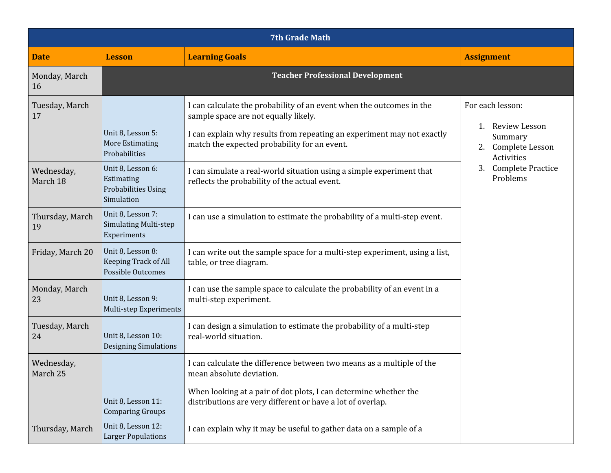| <b>7th Grade Math</b>  |                                                                             |                                                                                                                                                                                                                                        |                                                                             |
|------------------------|-----------------------------------------------------------------------------|----------------------------------------------------------------------------------------------------------------------------------------------------------------------------------------------------------------------------------------|-----------------------------------------------------------------------------|
| <b>Date</b>            | <b>Lesson</b>                                                               | <b>Learning Goals</b>                                                                                                                                                                                                                  | <b>Assignment</b>                                                           |
| Monday, March<br>16    |                                                                             | <b>Teacher Professional Development</b>                                                                                                                                                                                                |                                                                             |
| Tuesday, March<br>17   | Unit 8, Lesson 5:<br><b>More Estimating</b><br>Probabilities                | I can calculate the probability of an event when the outcomes in the<br>sample space are not equally likely.<br>I can explain why results from repeating an experiment may not exactly<br>match the expected probability for an event. | For each lesson:<br>Review Lesson<br>1.<br>Summary<br>Complete Lesson<br>2. |
| Wednesday,<br>March 18 | Unit 8, Lesson 6:<br>Estimating<br><b>Probabilities Using</b><br>Simulation | I can simulate a real-world situation using a simple experiment that<br>reflects the probability of the actual event.                                                                                                                  | Activities<br><b>Complete Practice</b><br>3.<br>Problems                    |
| Thursday, March<br>19  | Unit 8, Lesson 7:<br><b>Simulating Multi-step</b><br>Experiments            | I can use a simulation to estimate the probability of a multi-step event.                                                                                                                                                              |                                                                             |
| Friday, March 20       | Unit 8, Lesson 8:<br><b>Keeping Track of All</b><br>Possible Outcomes       | I can write out the sample space for a multi-step experiment, using a list,<br>table, or tree diagram.                                                                                                                                 |                                                                             |
| Monday, March<br>23    | Unit 8, Lesson 9:<br>Multi-step Experiments                                 | I can use the sample space to calculate the probability of an event in a<br>multi-step experiment.                                                                                                                                     |                                                                             |
| Tuesday, March<br>24   | Unit 8, Lesson 10:<br><b>Designing Simulations</b>                          | I can design a simulation to estimate the probability of a multi-step<br>real-world situation.                                                                                                                                         |                                                                             |
| Wednesday,<br>March 25 |                                                                             | I can calculate the difference between two means as a multiple of the<br>mean absolute deviation.                                                                                                                                      |                                                                             |
|                        | Unit 8, Lesson 11:<br><b>Comparing Groups</b>                               | When looking at a pair of dot plots, I can determine whether the<br>distributions are very different or have a lot of overlap.                                                                                                         |                                                                             |
| Thursday, March        | Unit 8, Lesson 12:<br><b>Larger Populations</b>                             | I can explain why it may be useful to gather data on a sample of a                                                                                                                                                                     |                                                                             |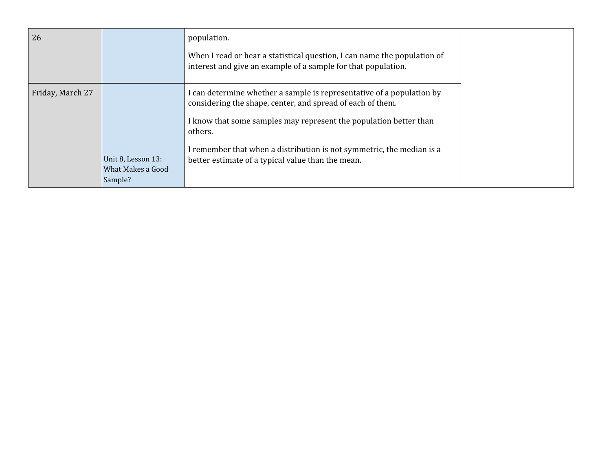| 26               |                                                    | population.<br>When I read or hear a statistical question, I can name the population of<br>interest and give an example of a sample for that population.                                                                                                                                                                                          |
|------------------|----------------------------------------------------|---------------------------------------------------------------------------------------------------------------------------------------------------------------------------------------------------------------------------------------------------------------------------------------------------------------------------------------------------|
| Friday, March 27 | Unit 8, Lesson 13:<br>What Makes a Good<br>Sample? | I can determine whether a sample is representative of a population by<br>considering the shape, center, and spread of each of them.<br>I know that some samples may represent the population better than<br>others.<br>I remember that when a distribution is not symmetric, the median is a<br>better estimate of a typical value than the mean. |